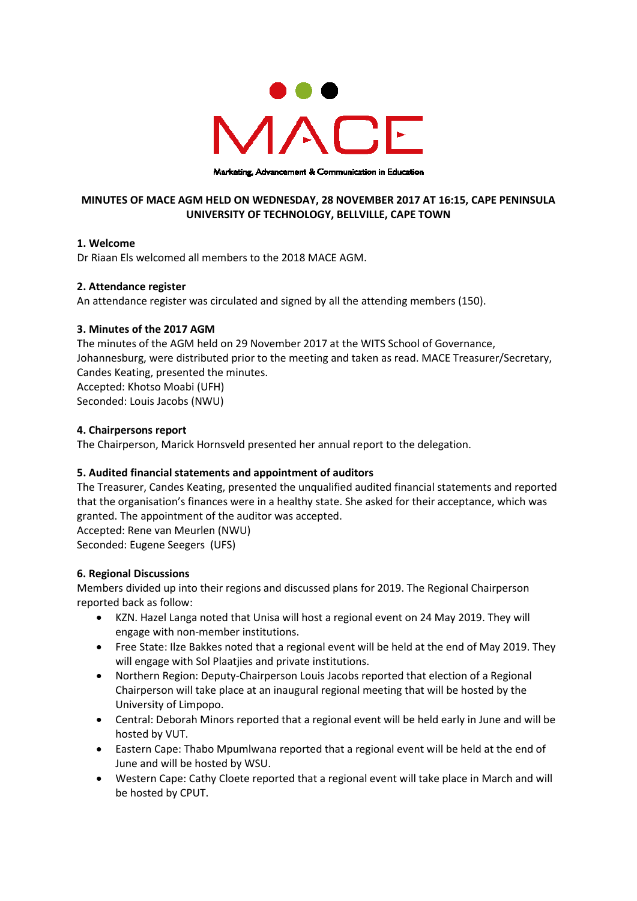

Marketing, Advancement & Communication in Education

## **MINUTES OF MACE AGM HELD ON WEDNESDAY, 28 NOVEMBER 2017 AT 16:15, CAPE PENINSULA UNIVERSITY OF TECHNOLOGY, BELLVILLE, CAPE TOWN**

### **1. Welcome**

Dr Riaan Els welcomed all members to the 2018 MACE AGM.

### **2. Attendance register**

An attendance register was circulated and signed by all the attending members (150).

### **3. Minutes of the 2017 AGM**

The minutes of the AGM held on 29 November 2017 at the WITS School of Governance, Johannesburg, were distributed prior to the meeting and taken as read. MACE Treasurer/Secretary, Candes Keating, presented the minutes. Accepted: Khotso Moabi (UFH) Seconded: Louis Jacobs (NWU)

### **4. Chairpersons report**

The Chairperson, Marick Hornsveld presented her annual report to the delegation.

## **5. Audited financial statements and appointment of auditors**

The Treasurer, Candes Keating, presented the unqualified audited financial statements and reported that the organisation's finances were in a healthy state. She asked for their acceptance, which was granted. The appointment of the auditor was accepted.

Accepted: Rene van Meurlen (NWU)

Seconded: Eugene Seegers (UFS)

## **6. Regional Discussions**

Members divided up into their regions and discussed plans for 2019. The Regional Chairperson reported back as follow:

- KZN. Hazel Langa noted that Unisa will host a regional event on 24 May 2019. They will engage with non-member institutions.
- Free State: Ilze Bakkes noted that a regional event will be held at the end of May 2019. They will engage with Sol Plaatjies and private institutions.
- Northern Region: Deputy-Chairperson Louis Jacobs reported that election of a Regional Chairperson will take place at an inaugural regional meeting that will be hosted by the University of Limpopo.
- Central: Deborah Minors reported that a regional event will be held early in June and will be hosted by VUT.
- Eastern Cape: Thabo Mpumlwana reported that a regional event will be held at the end of June and will be hosted by WSU.
- Western Cape: Cathy Cloete reported that a regional event will take place in March and will be hosted by CPUT.